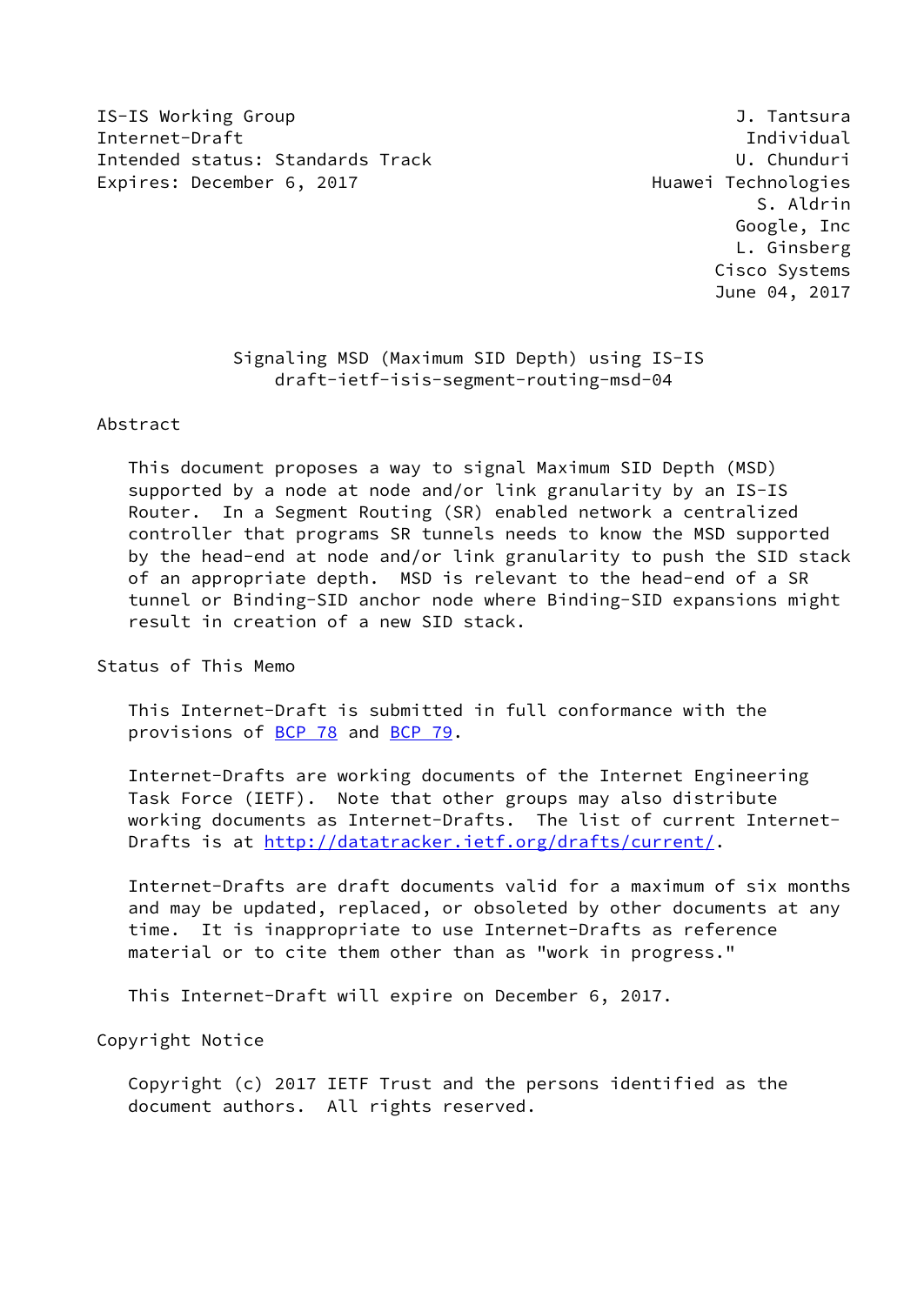IS-IS Working Group J. Tantsura Internet-Draft Individual Intended status: Standards Track U. Chunduri Expires: December 6, 2017 and the controller expires: December 6, 2017

 S. Aldrin Google, Inc L. Ginsberg Cisco Systems June 04, 2017

 Signaling MSD (Maximum SID Depth) using IS-IS draft-ietf-isis-segment-routing-msd-04

Abstract

 This document proposes a way to signal Maximum SID Depth (MSD) supported by a node at node and/or link granularity by an IS-IS Router. In a Segment Routing (SR) enabled network a centralized controller that programs SR tunnels needs to know the MSD supported by the head-end at node and/or link granularity to push the SID stack of an appropriate depth. MSD is relevant to the head-end of a SR tunnel or Binding-SID anchor node where Binding-SID expansions might result in creation of a new SID stack.

Status of This Memo

 This Internet-Draft is submitted in full conformance with the provisions of [BCP 78](https://datatracker.ietf.org/doc/pdf/bcp78) and [BCP 79](https://datatracker.ietf.org/doc/pdf/bcp79).

 Internet-Drafts are working documents of the Internet Engineering Task Force (IETF). Note that other groups may also distribute working documents as Internet-Drafts. The list of current Internet Drafts is at<http://datatracker.ietf.org/drafts/current/>.

 Internet-Drafts are draft documents valid for a maximum of six months and may be updated, replaced, or obsoleted by other documents at any time. It is inappropriate to use Internet-Drafts as reference material or to cite them other than as "work in progress."

This Internet-Draft will expire on December 6, 2017.

Copyright Notice

 Copyright (c) 2017 IETF Trust and the persons identified as the document authors. All rights reserved.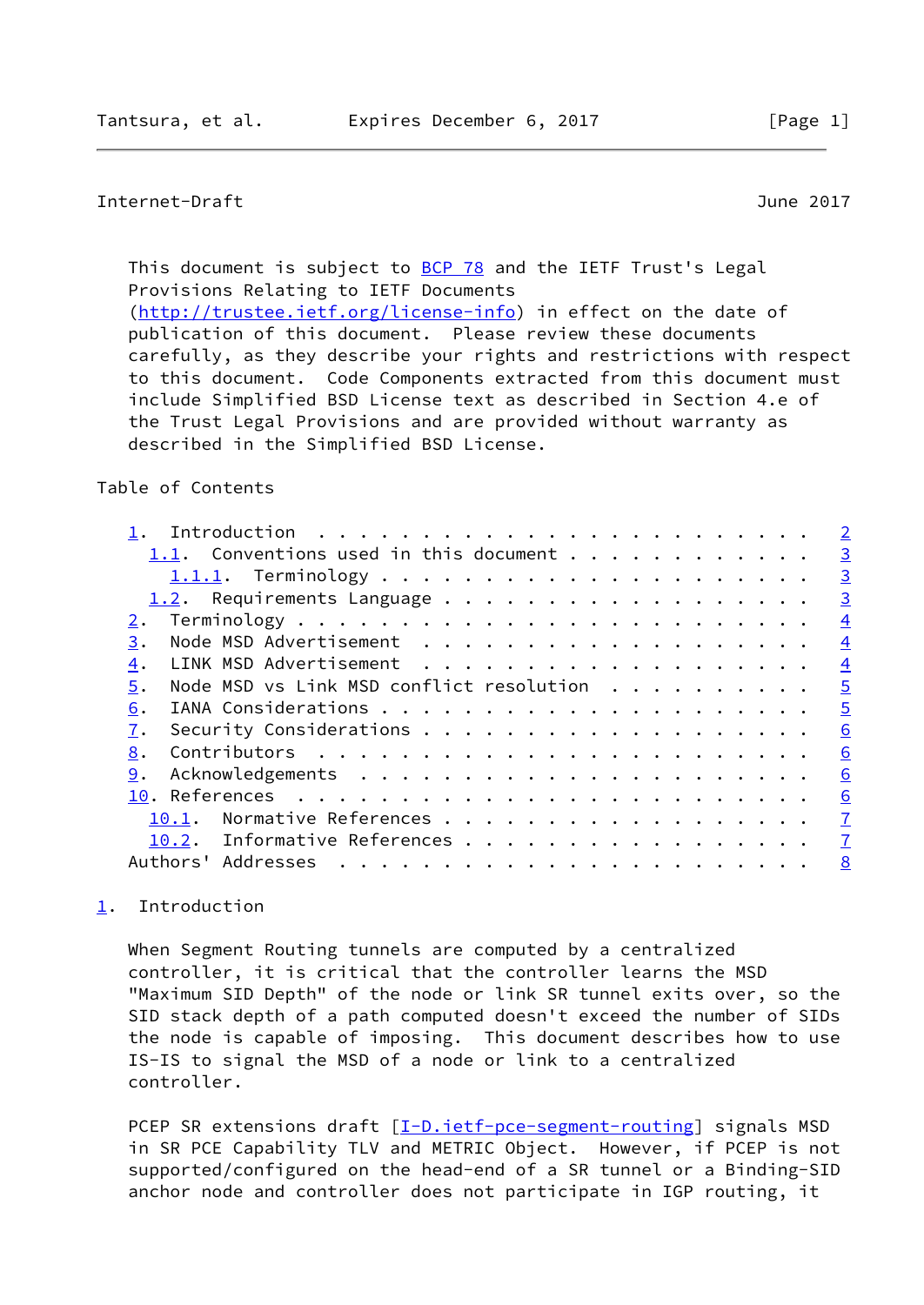<span id="page-1-1"></span>This document is subject to [BCP 78](https://datatracker.ietf.org/doc/pdf/bcp78) and the IETF Trust's Legal Provisions Relating to IETF Documents [\(http://trustee.ietf.org/license-info](http://trustee.ietf.org/license-info)) in effect on the date of publication of this document. Please review these documents carefully, as they describe your rights and restrictions with respect to this document. Code Components extracted from this document must include Simplified BSD License text as described in Section 4.e of the Trust Legal Provisions and are provided without warranty as described in the Simplified BSD License.

## Table of Contents

|                                                | $\overline{2}$  |
|------------------------------------------------|-----------------|
| 1.1. Conventions used in this document $\dots$ | $\overline{3}$  |
|                                                | $\overline{3}$  |
| 1.2. Requirements Language                     | $\overline{3}$  |
|                                                | $\overline{4}$  |
| 3.                                             | $\overline{4}$  |
| 4.                                             | $\overline{4}$  |
| Node MSD vs Link MSD conflict resolution<br>5. | $\overline{5}$  |
| 6.                                             | $\overline{5}$  |
|                                                | 6               |
| 8.                                             | 6               |
| 9.                                             | 6               |
|                                                | $\underline{6}$ |
| Normative References<br>10.1.                  | $\mathbf{Z}$    |
| 10.2. Informative References                   | $\mathbf{Z}$    |
| Authors' Addresses                             | 8               |
|                                                |                 |

# <span id="page-1-0"></span>[1](#page-1-0). Introduction

 When Segment Routing tunnels are computed by a centralized controller, it is critical that the controller learns the MSD "Maximum SID Depth" of the node or link SR tunnel exits over, so the SID stack depth of a path computed doesn't exceed the number of SIDs the node is capable of imposing. This document describes how to use IS-IS to signal the MSD of a node or link to a centralized controller.

PCEP SR extensions draft [\[I-D.ietf-pce-segment-routing](#page-7-2)] signals MSD in SR PCE Capability TLV and METRIC Object. However, if PCEP is not supported/configured on the head-end of a SR tunnel or a Binding-SID anchor node and controller does not participate in IGP routing, it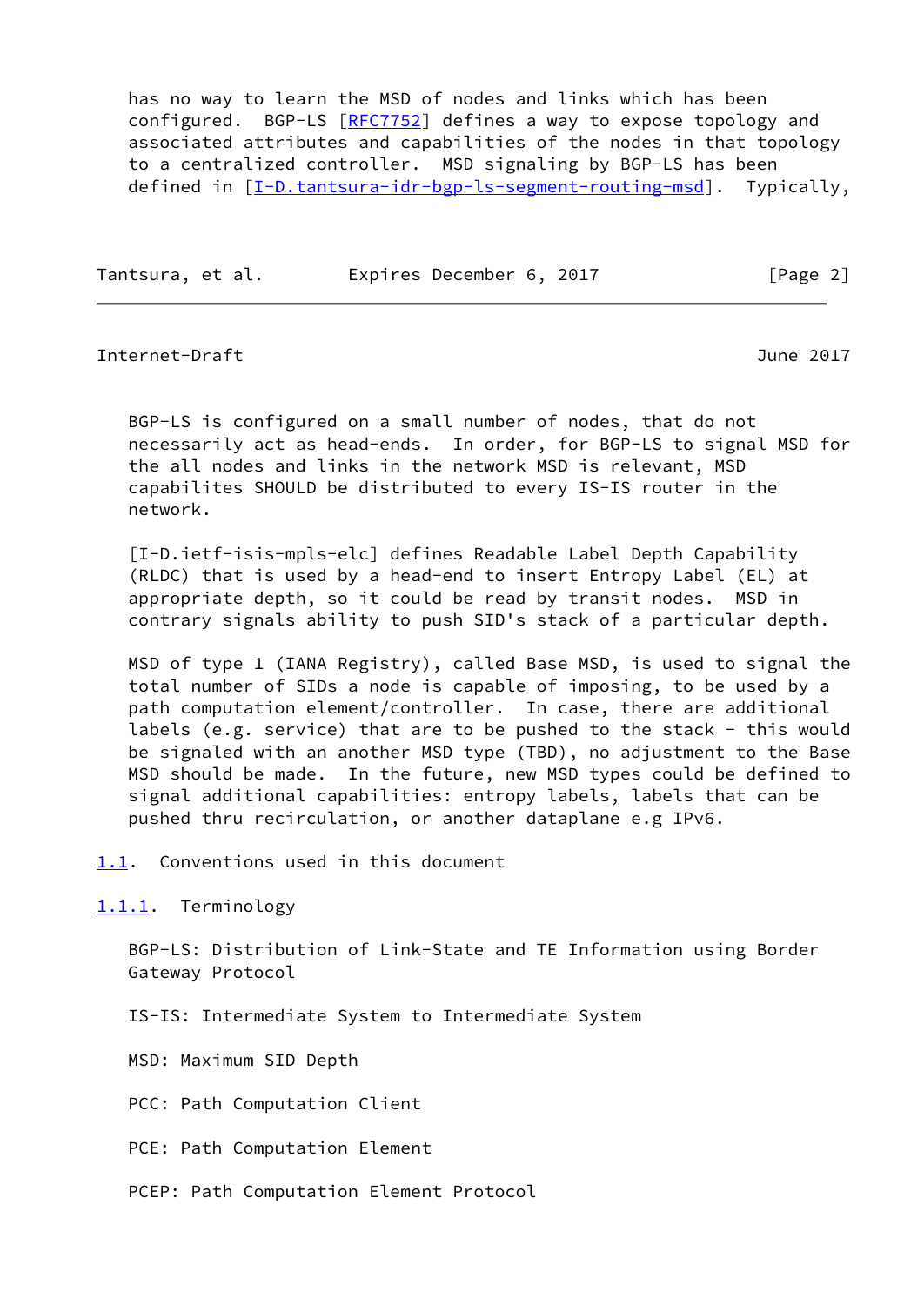has no way to learn the MSD of nodes and links which has been configured. BGP-LS [\[RFC7752](https://datatracker.ietf.org/doc/pdf/rfc7752)] defines a way to expose topology and associated attributes and capabilities of the nodes in that topology to a centralized controller. MSD signaling by BGP-LS has been defined in [[I-D.tantsura-idr-bgp-ls-segment-routing-msd\]](#page-7-3). Typically,

Tantsura, et al. Expires December 6, 2017 [Page 2]

<span id="page-2-1"></span>Internet-Draft June 2017

 BGP-LS is configured on a small number of nodes, that do not necessarily act as head-ends. In order, for BGP-LS to signal MSD for the all nodes and links in the network MSD is relevant, MSD capabilites SHOULD be distributed to every IS-IS router in the network.

 [I-D.ietf-isis-mpls-elc] defines Readable Label Depth Capability (RLDC) that is used by a head-end to insert Entropy Label (EL) at appropriate depth, so it could be read by transit nodes. MSD in contrary signals ability to push SID's stack of a particular depth.

 MSD of type 1 (IANA Registry), called Base MSD, is used to signal the total number of SIDs a node is capable of imposing, to be used by a path computation element/controller. In case, there are additional labels (e.g. service) that are to be pushed to the stack - this would be signaled with an another MSD type (TBD), no adjustment to the Base MSD should be made. In the future, new MSD types could be defined to signal additional capabilities: entropy labels, labels that can be pushed thru recirculation, or another dataplane e.g IPv6.

<span id="page-2-0"></span>[1.1](#page-2-0). Conventions used in this document

<span id="page-2-2"></span>[1.1.1](#page-2-2). Terminology

 BGP-LS: Distribution of Link-State and TE Information using Border Gateway Protocol

IS-IS: Intermediate System to Intermediate System

MSD: Maximum SID Depth

PCC: Path Computation Client

PCE: Path Computation Element

PCEP: Path Computation Element Protocol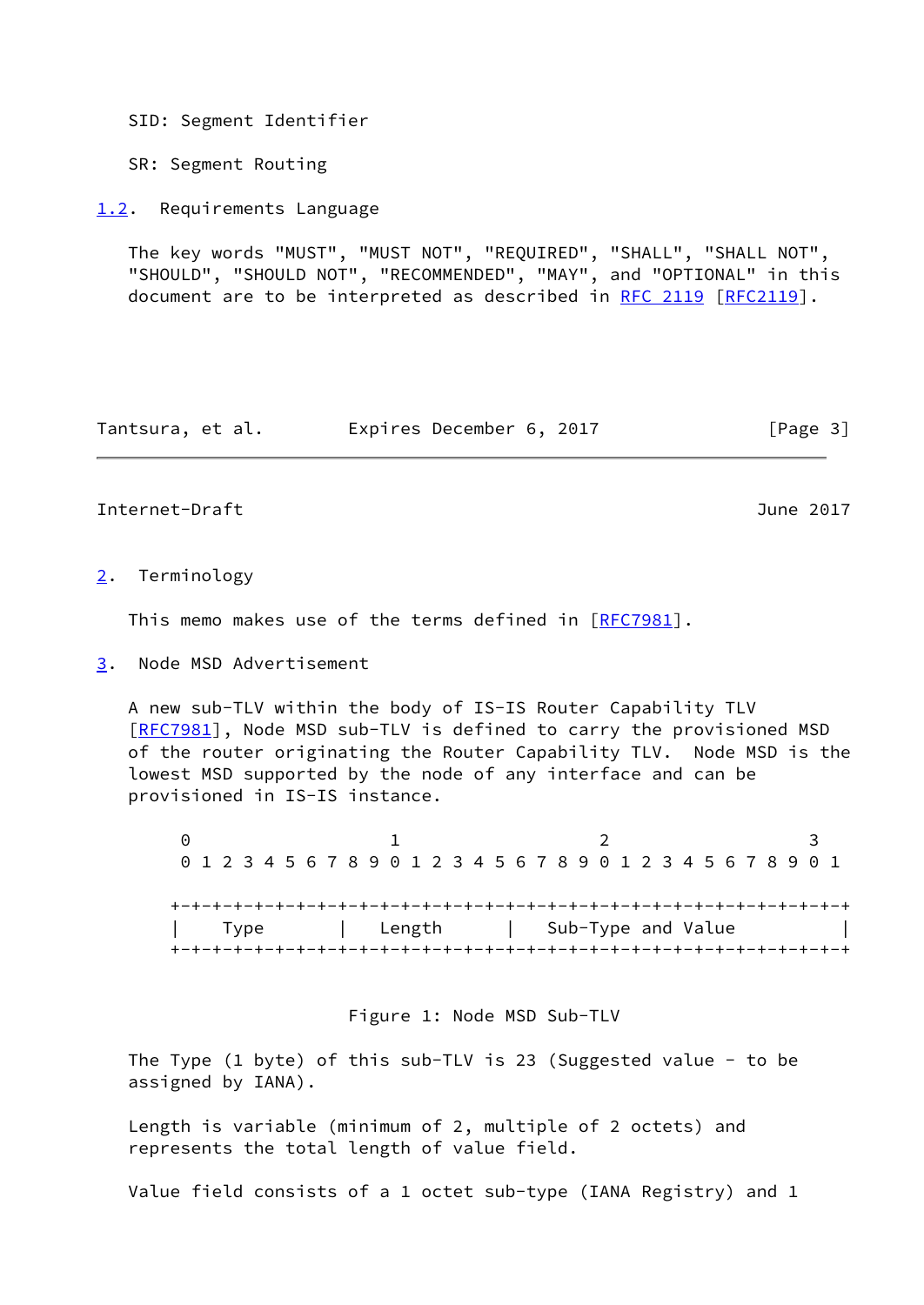SID: Segment Identifier

SR: Segment Routing

<span id="page-3-0"></span>[1.2](#page-3-0). Requirements Language

 The key words "MUST", "MUST NOT", "REQUIRED", "SHALL", "SHALL NOT", "SHOULD", "SHOULD NOT", "RECOMMENDED", "MAY", and "OPTIONAL" in this document are to be interpreted as described in [RFC 2119 \[RFC2119](https://datatracker.ietf.org/doc/pdf/rfc2119)].

Tantsura, et al. Expires December 6, 2017 [Page 3]

### <span id="page-3-2"></span>Internet-Draft June 2017

#### <span id="page-3-1"></span>[2](#page-3-1). Terminology

This memo makes use of the terms defined in [\[RFC7981](https://datatracker.ietf.org/doc/pdf/rfc7981)].

<span id="page-3-3"></span>[3](#page-3-3). Node MSD Advertisement

 A new sub-TLV within the body of IS-IS Router Capability TLV [\[RFC7981](https://datatracker.ietf.org/doc/pdf/rfc7981)], Node MSD sub-TLV is defined to carry the provisioned MSD of the router originating the Router Capability TLV. Node MSD is the lowest MSD supported by the node of any interface and can be provisioned in IS-IS instance.

 $0$  1 2 3 0 1 2 3 4 5 6 7 8 9 0 1 2 3 4 5 6 7 8 9 0 1 2 3 4 5 6 7 8 9 0 1 +-+-+-+-+-+-+-+-+-+-+-+-+-+-+-+-+-+-+-+-+-+-+-+-+-+-+-+-+-+-+-+-+ Type | Length | Sub-Type and Value +-+-+-+-+-+-+-+-+-+-+-+-+-+-+-+-+-+-+-+-+-+-+-+-+-+-+-+-+-+-+-+-+

Figure 1: Node MSD Sub-TLV

 The Type (1 byte) of this sub-TLV is 23 (Suggested value - to be assigned by IANA).

 Length is variable (minimum of 2, multiple of 2 octets) and represents the total length of value field.

Value field consists of a 1 octet sub-type (IANA Registry) and 1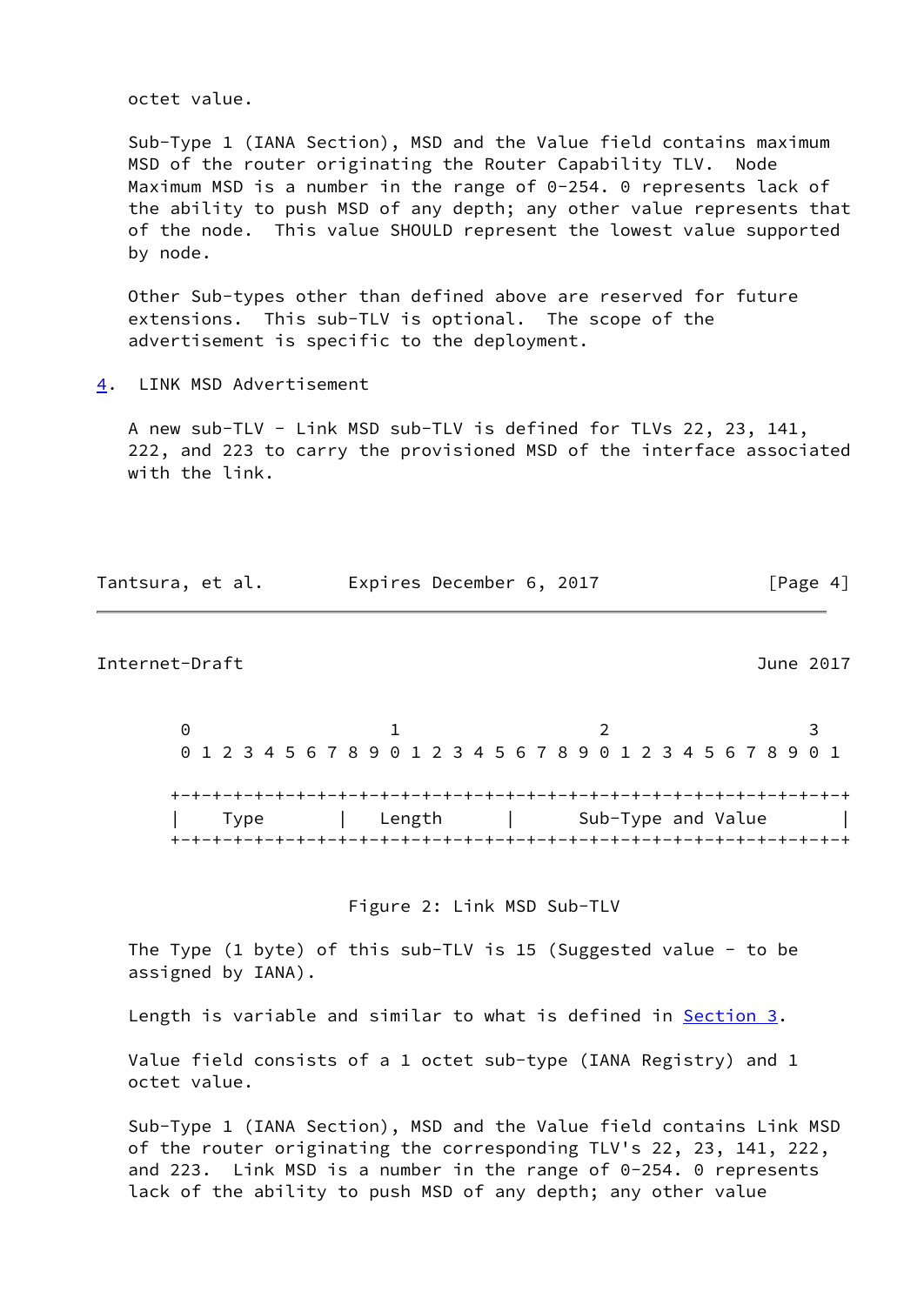octet value.

 Sub-Type 1 (IANA Section), MSD and the Value field contains maximum MSD of the router originating the Router Capability TLV. Node Maximum MSD is a number in the range of 0-254. 0 represents lack of the ability to push MSD of any depth; any other value represents that of the node. This value SHOULD represent the lowest value supported by node.

 Other Sub-types other than defined above are reserved for future extensions. This sub-TLV is optional. The scope of the advertisement is specific to the deployment.

<span id="page-4-0"></span>[4](#page-4-0). LINK MSD Advertisement

 A new sub-TLV - Link MSD sub-TLV is defined for TLVs 22, 23, 141, 222, and 223 to carry the provisioned MSD of the interface associated with the link.

| Tantsura, et al. |  | Expires December 6, 2017 |  | [Page 4] |  |
|------------------|--|--------------------------|--|----------|--|
|                  |  |                          |  |          |  |

<span id="page-4-1"></span>Internet-Draft June 2017

 $0$  1 2 3 0 1 2 3 4 5 6 7 8 9 0 1 2 3 4 5 6 7 8 9 0 1 2 3 4 5 6 7 8 9 0 1 +-+-+-+-+-+-+-+-+-+-+-+-+-+-+-+-+-+-+-+-+-+-+-+-+-+-+-+-+-+-+-+-+ Type | Length | Sub-Type and Value +-+-+-+-+-+-+-+-+-+-+-+-+-+-+-+-+-+-+-+-+-+-+-+-+-+-+-+-+-+-+-+-+

Figure 2: Link MSD Sub-TLV

 The Type (1 byte) of this sub-TLV is 15 (Suggested value - to be assigned by IANA).

Length is variable and similar to what is defined in [Section 3](#page-3-3).

 Value field consists of a 1 octet sub-type (IANA Registry) and 1 octet value.

 Sub-Type 1 (IANA Section), MSD and the Value field contains Link MSD of the router originating the corresponding TLV's 22, 23, 141, 222, and 223. Link MSD is a number in the range of 0-254. 0 represents lack of the ability to push MSD of any depth; any other value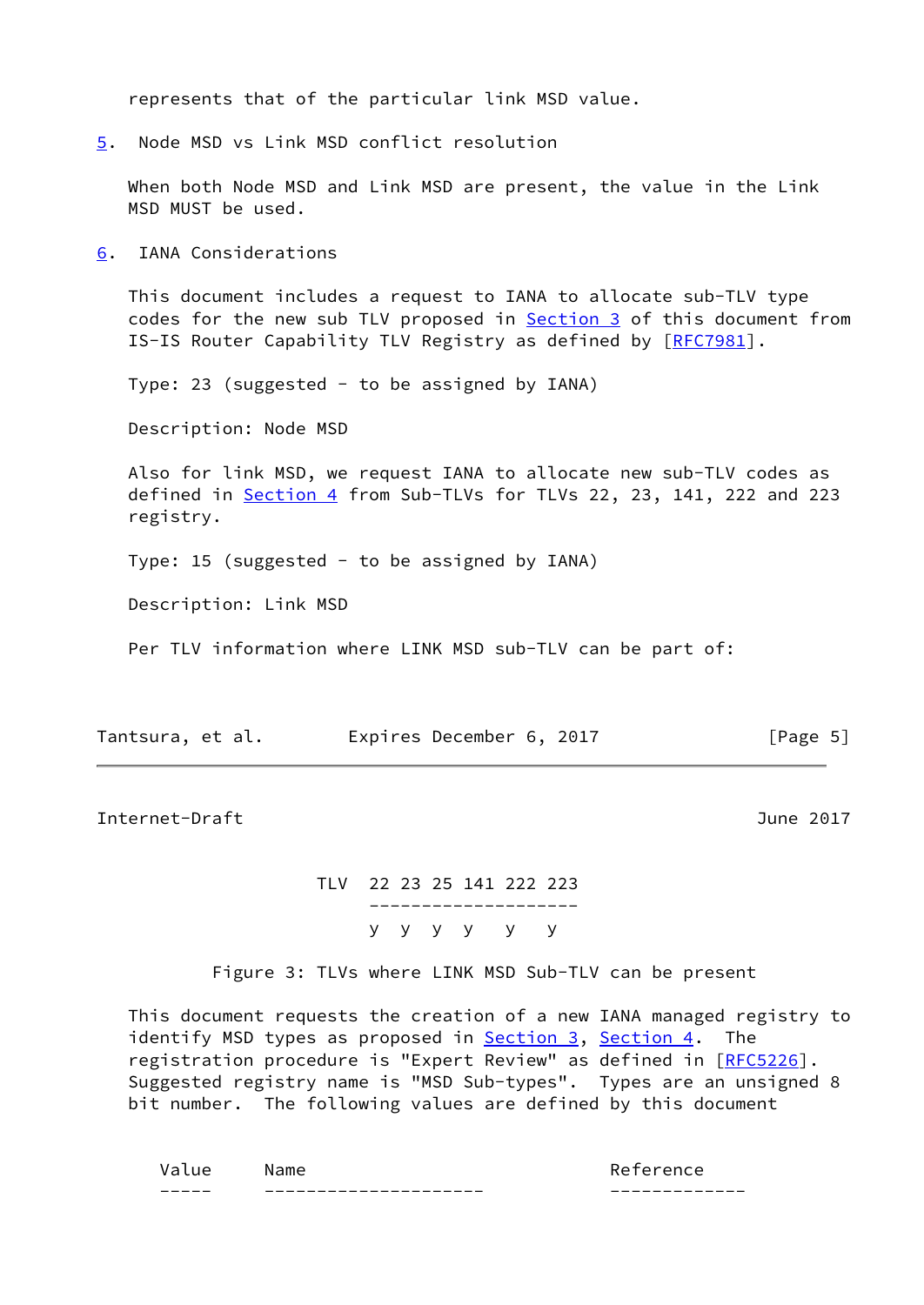represents that of the particular link MSD value.

<span id="page-5-0"></span>[5](#page-5-0). Node MSD vs Link MSD conflict resolution

 When both Node MSD and Link MSD are present, the value in the Link MSD MUST be used.

<span id="page-5-1"></span>[6](#page-5-1). IANA Considerations

 This document includes a request to IANA to allocate sub-TLV type codes for the new sub TLV proposed in **Section 3** of this document from IS-IS Router Capability TLV Registry as defined by [[RFC7981\]](https://datatracker.ietf.org/doc/pdf/rfc7981).

Type: 23 (suggested - to be assigned by IANA)

Description: Node MSD

 Also for link MSD, we request IANA to allocate new sub-TLV codes as defined in [Section 4](#page-4-0) from Sub-TLVs for TLVs 22, 23, 141, 222 and 223 registry.

Type: 15 (suggested - to be assigned by IANA)

Description: Link MSD

Per TLV information where LINK MSD sub-TLV can be part of:

| Tantsura, et al. | Expires December 6, 2017 |  | [Page 5] |
|------------------|--------------------------|--|----------|
|------------------|--------------------------|--|----------|

<span id="page-5-2"></span>Internet-Draft June 2017

 TLV 22 23 25 141 222 223 ------------------- y y y y y y

Figure 3: TLVs where LINK MSD Sub-TLV can be present

 This document requests the creation of a new IANA managed registry to identify MSD types as proposed in **Section 3**, **Section 4**. The registration procedure is "Expert Review" as defined in [\[RFC5226](https://datatracker.ietf.org/doc/pdf/rfc5226)]. Suggested registry name is "MSD Sub-types". Types are an unsigned 8 bit number. The following values are defined by this document

| $\sim$<br>____ | -------------------<br>—<br>___ | ___<br>--<br>_ _ _ _ _ _ _ _ _        |
|----------------|---------------------------------|---------------------------------------|
|                |                                 | ∼<br>$\cdot$ $\mapsto$ $\cdot$<br>. . |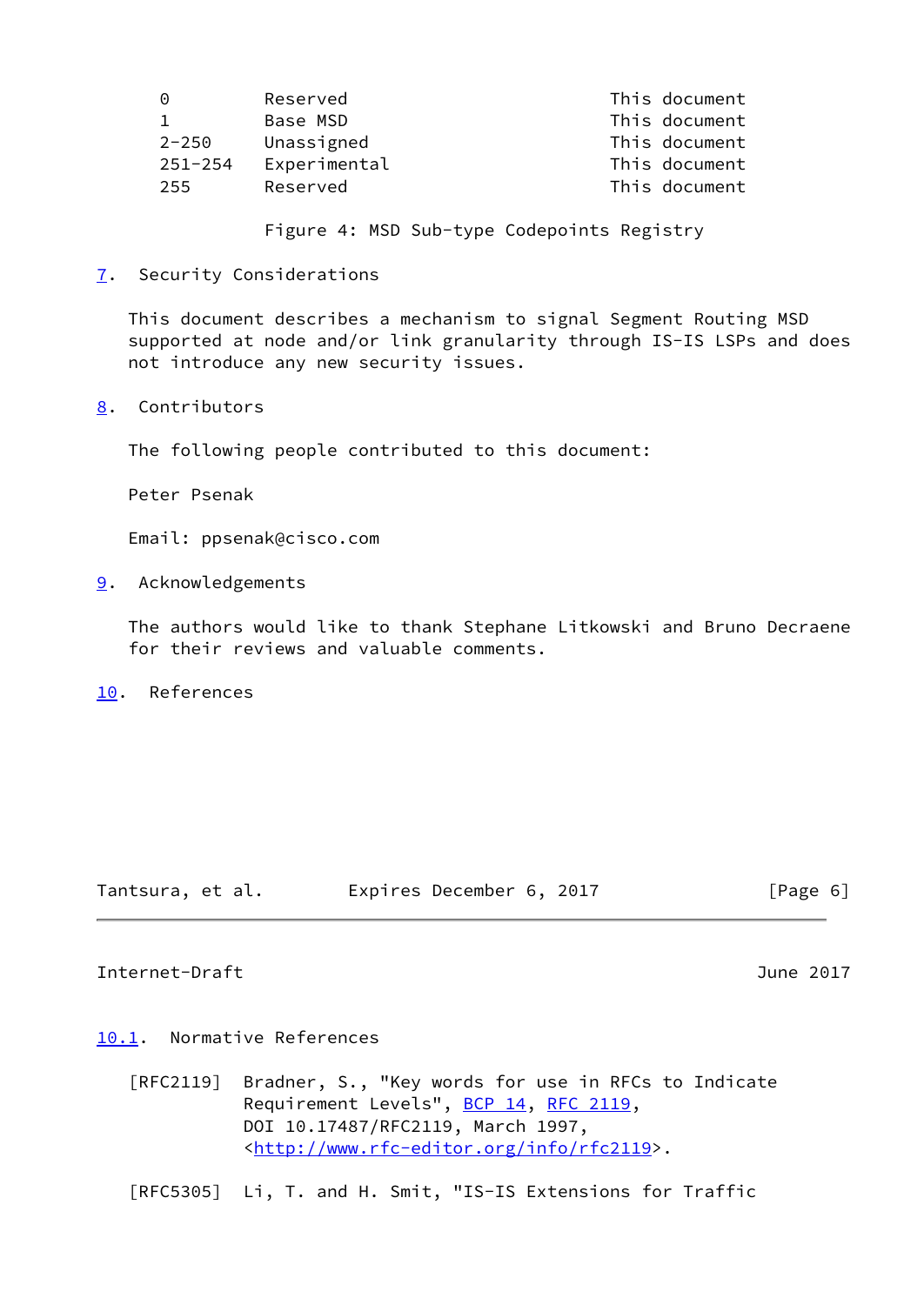| $\Theta$    | Reserved     | This document |
|-------------|--------------|---------------|
|             | Base MSD     | This document |
| $2 - 250$   | Unassigned   | This document |
| $251 - 254$ | Experimental | This document |
| 255         | Reserved     | This document |

Figure 4: MSD Sub-type Codepoints Registry

<span id="page-6-0"></span>[7](#page-6-0). Security Considerations

 This document describes a mechanism to signal Segment Routing MSD supported at node and/or link granularity through IS-IS LSPs and does not introduce any new security issues.

<span id="page-6-1"></span>[8](#page-6-1). Contributors

The following people contributed to this document:

Peter Psenak

Email: ppsenak@cisco.com

<span id="page-6-2"></span>[9](#page-6-2). Acknowledgements

 The authors would like to thank Stephane Litkowski and Bruno Decraene for their reviews and valuable comments.

<span id="page-6-3"></span>[10.](#page-6-3) References

| Tantsura, et al. | Expires December 6, 2017 |  | [Page 6] |
|------------------|--------------------------|--|----------|
|------------------|--------------------------|--|----------|

## <span id="page-6-5"></span>Internet-Draft June 2017

## <span id="page-6-4"></span>[10.1](#page-6-4). Normative References

 [RFC2119] Bradner, S., "Key words for use in RFCs to Indicate Requirement Levels", [BCP 14](https://datatracker.ietf.org/doc/pdf/bcp14), [RFC 2119](https://datatracker.ietf.org/doc/pdf/rfc2119), DOI 10.17487/RFC2119, March 1997, <<http://www.rfc-editor.org/info/rfc2119>>.

[RFC5305] Li, T. and H. Smit, "IS-IS Extensions for Traffic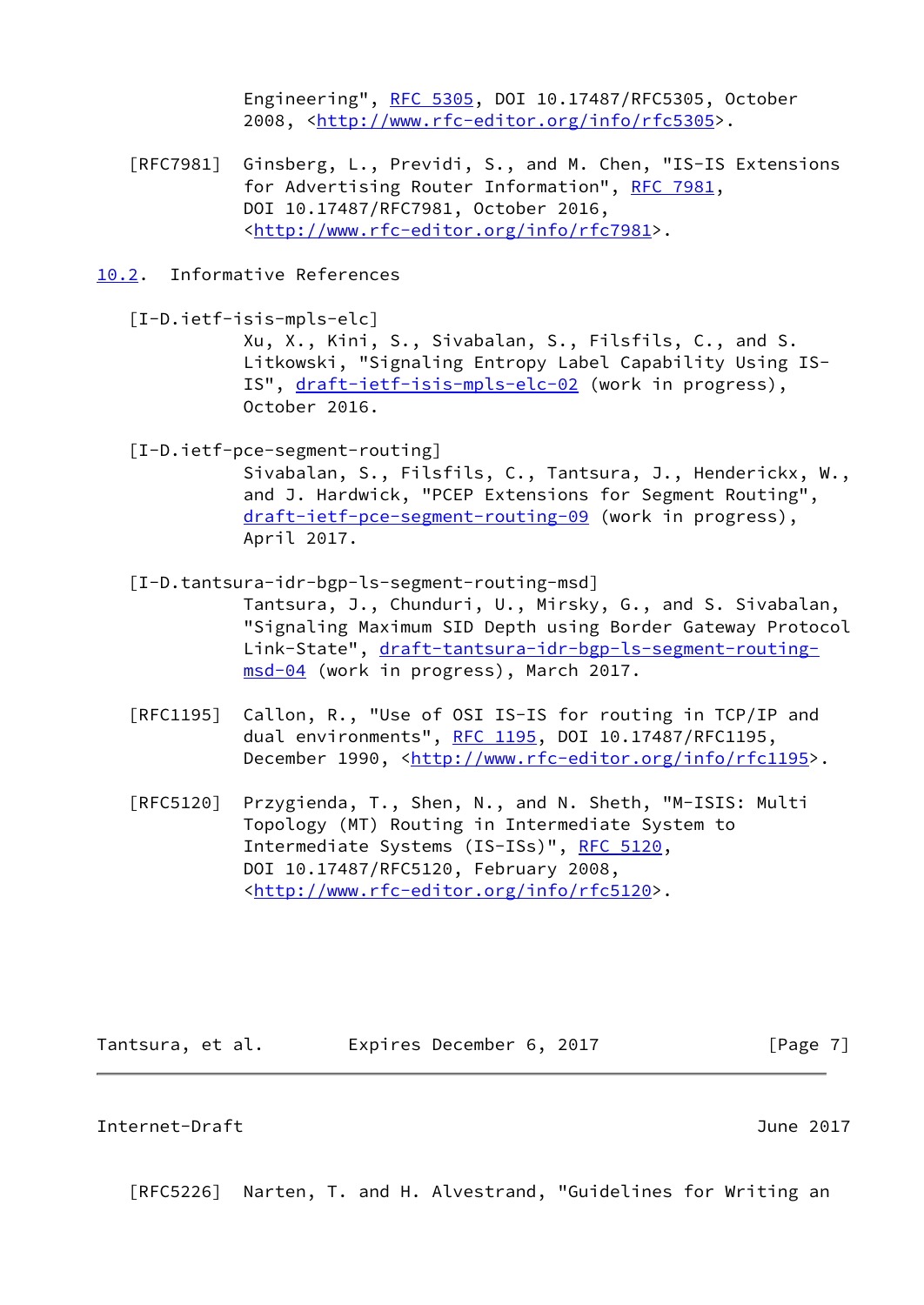Engineering", [RFC 5305](https://datatracker.ietf.org/doc/pdf/rfc5305), DOI 10.17487/RFC5305, October 2008, [<http://www.rfc-editor.org/info/rfc5305](http://www.rfc-editor.org/info/rfc5305)>.

- [RFC7981] Ginsberg, L., Previdi, S., and M. Chen, "IS-IS Extensions for Advertising Router Information", [RFC 7981](https://datatracker.ietf.org/doc/pdf/rfc7981), DOI 10.17487/RFC7981, October 2016, <<http://www.rfc-editor.org/info/rfc7981>>.
- <span id="page-7-0"></span>[10.2](#page-7-0). Informative References
	- [I-D.ietf-isis-mpls-elc] Xu, X., Kini, S., Sivabalan, S., Filsfils, C., and S. Litkowski, "Signaling Entropy Label Capability Using IS IS", [draft-ietf-isis-mpls-elc-02](https://datatracker.ietf.org/doc/pdf/draft-ietf-isis-mpls-elc-02) (work in progress), October 2016.
	- [I-D.ietf-pce-segment-routing]

<span id="page-7-2"></span> Sivabalan, S., Filsfils, C., Tantsura, J., Henderickx, W., and J. Hardwick, "PCEP Extensions for Segment Routing", [draft-ietf-pce-segment-routing-09](https://datatracker.ietf.org/doc/pdf/draft-ietf-pce-segment-routing-09) (work in progress), April 2017.

<span id="page-7-3"></span>[I-D.tantsura-idr-bgp-ls-segment-routing-msd]

 Tantsura, J., Chunduri, U., Mirsky, G., and S. Sivabalan, "Signaling Maximum SID Depth using Border Gateway Protocol Link-State", [draft-tantsura-idr-bgp-ls-segment-routing](https://datatracker.ietf.org/doc/pdf/draft-tantsura-idr-bgp-ls-segment-routing-msd-04) [msd-04](https://datatracker.ietf.org/doc/pdf/draft-tantsura-idr-bgp-ls-segment-routing-msd-04) (work in progress), March 2017.

- [RFC1195] Callon, R., "Use of OSI IS-IS for routing in TCP/IP and dual environments", [RFC 1195,](https://datatracker.ietf.org/doc/pdf/rfc1195) DOI 10.17487/RFC1195, December 1990, <<http://www.rfc-editor.org/info/rfc1195>>.
- [RFC5120] Przygienda, T., Shen, N., and N. Sheth, "M-ISIS: Multi Topology (MT) Routing in Intermediate System to Intermediate Systems (IS-ISs)", [RFC 5120,](https://datatracker.ietf.org/doc/pdf/rfc5120) DOI 10.17487/RFC5120, February 2008, <<http://www.rfc-editor.org/info/rfc5120>>.

Tantsura, et al. **Expires December 6, 2017**[Page 7]

#### <span id="page-7-1"></span>Internet-Draft June 2017

[RFC5226] Narten, T. and H. Alvestrand, "Guidelines for Writing an